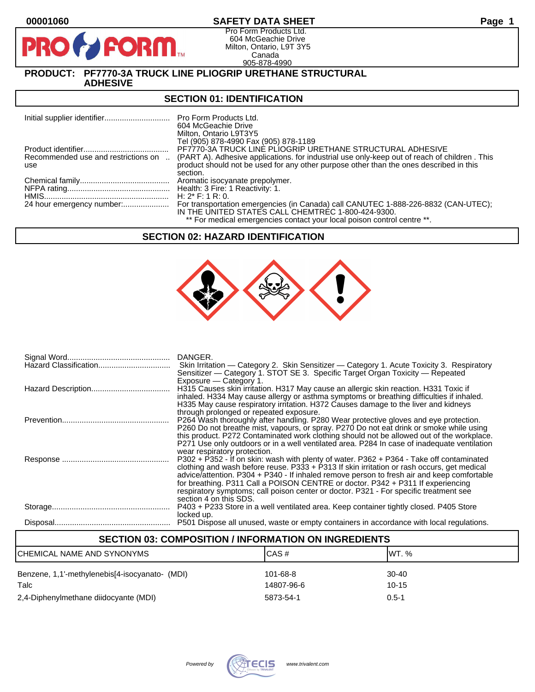**PIR** 

# **00001060 SAFETY DATA SHEET Page 1**

Pro Form Products Ltd. 604 McGeachie Drive Milton, Ontario, L9T 3Y5 Canada 905-878-4990

#### **PRODUCT: PF7770-3A TRUCK LINE PLIOGRIP URETHANE STRUCTURAL ADHESIVE**

**FORM** 

#### **SECTION 01: IDENTIFICATION**

|                                            | <b>Pro Form Products Ltd.</b><br>604 McGeachie Drive<br>Milton, Ontario L9T3Y5<br>Tel (905) 878-4990 Fax (905) 878-1189                                                                |
|--------------------------------------------|----------------------------------------------------------------------------------------------------------------------------------------------------------------------------------------|
|                                            | PF7770-3A TRUCK LINE PLIOGRIP URETHANE STRUCTURAL ADHESIVE                                                                                                                             |
| Recommended use and restrictions on<br>use | (PART A). Adhesive applications, for industrial use only-keep out of reach of children. This<br>product should not be used for any other purpose other than the ones described in this |
|                                            | section.<br>Aromatic isocyanate prepolymer.                                                                                                                                            |
|                                            | Health: 3 Fire: 1 Reactivity: 1.                                                                                                                                                       |
|                                            | H: $2^*$ F: 1 R: 0.                                                                                                                                                                    |
|                                            | For transportation emergencies (in Canada) call CANUTEC 1-888-226-8832 (CAN-UTEC);<br>IN THE UNITED STATES CALL CHEMTREC 1-800-424-9300.                                               |
|                                            | ** For medical emergencies contact your local poison control centre **.                                                                                                                |

## **SECTION 02: HAZARD IDENTIFICATION**



| DANGER.<br>Skin Irritation — Category 2. Skin Sensitizer — Category 1. Acute Toxicity 3. Respiratory<br>Sensitizer — Category 1. STOT SE 3. Specific Target Organ Toxicity — Repeated                                                                                                                                                                                                                                                                                                      |
|--------------------------------------------------------------------------------------------------------------------------------------------------------------------------------------------------------------------------------------------------------------------------------------------------------------------------------------------------------------------------------------------------------------------------------------------------------------------------------------------|
| Exposure - Category 1.<br>H315 Causes skin irritation. H317 May cause an allergic skin reaction. H331 Toxic if<br>inhaled. H334 May cause allergy or asthma symptoms or breathing difficulties if inhaled.<br>H335 May cause respiratory irritation. H372 Causes damage to the liver and kidneys<br>through prolonged or repeated exposure.                                                                                                                                                |
| P264 Wash thoroughly after handling. P280 Wear protective gloves and eye protection.<br>P260 Do not breathe mist, vapours, or spray. P270 Do not eat drink or smoke while using<br>this product. P272 Contaminated work clothing should not be allowed out of the workplace.<br>P271 Use only outdoors or in a well ventilated area. P284 In case of inadequate ventilation<br>wear respiratory protection.                                                                                |
| P302 + P352 - If on skin: wash with plenty of water. P362 + P364 - Take off contaminated<br>clothing and wash before reuse. P333 + P313 If skin irritation or rash occurs, get medical<br>advice/attention. P304 + P340 - If inhaled remove person to fresh air and keep comfortable<br>for breathing. P311 Call a POISON CENTRE or doctor. P342 + P311 If experiencing<br>respiratory symptoms; call poison center or doctor. P321 - For specific treatment see<br>section 4 on this SDS. |
| P403 + P233 Store in a well ventilated area. Keep container tightly closed. P405 Store<br>locked up.                                                                                                                                                                                                                                                                                                                                                                                       |
| P501 Dispose all unused, waste or empty containers in accordance with local regulations.                                                                                                                                                                                                                                                                                                                                                                                                   |

| <b>SECTION 03: COMPOSITION / INFORMATION ON INGREDIENTS</b> |                        |                      |
|-------------------------------------------------------------|------------------------|----------------------|
| CHEMICAL NAME AND SYNONYMS                                  | CAS#                   | IWT. %               |
| Benzene, 1,1'-methylenebis[4-isocyanato- (MDI)<br>Talc      | 101-68-8<br>14807-96-6 | $30 - 40$<br>$10-15$ |
| 2,4-Diphenylmethane diidocyante (MDI)                       | 5873-54-1              | $0.5 - 1$            |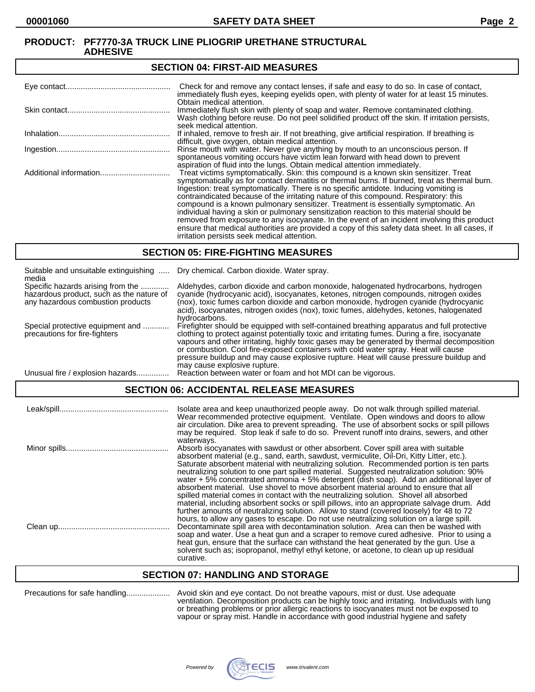#### **SECTION 04: FIRST-AID MEASURES**

| Check for and remove any contact lenses, if safe and easy to do so. In case of contact,<br>immediately flush eyes, keeping eyelids open, with plenty of water for at least 15 minutes.                                                                                                                                                                                                                                                                                                                                                                                                                                                                                                                                                                                                                   |
|----------------------------------------------------------------------------------------------------------------------------------------------------------------------------------------------------------------------------------------------------------------------------------------------------------------------------------------------------------------------------------------------------------------------------------------------------------------------------------------------------------------------------------------------------------------------------------------------------------------------------------------------------------------------------------------------------------------------------------------------------------------------------------------------------------|
| Obtain medical attention.<br>Immediately flush skin with plenty of soap and water. Remove contaminated clothing.<br>Wash clothing before reuse. Do not peel solidified product off the skin. If irritation persists,<br>seek medical attention.                                                                                                                                                                                                                                                                                                                                                                                                                                                                                                                                                          |
| If inhaled, remove to fresh air. If not breathing, give artificial respiration. If breathing is<br>difficult, give oxygen, obtain medical attention.                                                                                                                                                                                                                                                                                                                                                                                                                                                                                                                                                                                                                                                     |
| Rinse mouth with water. Never give anything by mouth to an unconscious person. If<br>spontaneous vomiting occurs have victim lean forward with head down to prevent<br>aspiration of fluid into the lungs. Obtain medical attention immediately.                                                                                                                                                                                                                                                                                                                                                                                                                                                                                                                                                         |
| Treat victims symptomatically. Skin: this compound is a known skin sensitizer. Treat<br>symptomatically as for contact dermatitis or thermal burns. If burned, treat as thermal burn.<br>Ingestion: treat symptomatically. There is no specific antidote. Inducing vomiting is<br>contraindicated because of the irritating nature of this compound. Respiratory: this<br>compound is a known pulmonary sensitizer. Treatment is essentially symptomatic. An<br>individual having a skin or pulmonary sensitization reaction to this material should be<br>removed from exposure to any isocyanate. In the event of an incident involving this product<br>ensure that medical authorities are provided a copy of this safety data sheet. In all cases, if<br>irritation persists seek medical attention. |

## **SECTION 05: FIRE-FIGHTING MEASURES**

| Suitable and unsuitable extinguishing<br>media                                                                     | Dry chemical. Carbon dioxide. Water spray.                                                                                                                                                                                                                                                                                                                                                                                                                                                                |
|--------------------------------------------------------------------------------------------------------------------|-----------------------------------------------------------------------------------------------------------------------------------------------------------------------------------------------------------------------------------------------------------------------------------------------------------------------------------------------------------------------------------------------------------------------------------------------------------------------------------------------------------|
| Specific hazards arising from the<br>hazardous product, such as the nature of<br>any hazardous combustion products | Aldehydes, carbon dioxide and carbon monoxide, halogenated hydrocarbons, hydrogen<br>cyanide (hydrocyanic acid), isocyanates, ketones, nitrogen compounds, nitrogen oxides<br>(nox), toxic fumes carbon dioxide and carbon monoxide, hydrogen cyanide (hydrocyanic<br>acid), isocyanates, nitrogen oxides (nox), toxic fumes, aldehydes, ketones, halogenated<br>hydrocarbons.                                                                                                                            |
| Special protective equipment and<br>precautions for fire-fighters                                                  | Firefighter should be equipped with self-contained breathing apparatus and full protective<br>clothing to protect against potentially toxic and irritating fumes. During a fire, isocyanate<br>vapours and other irritating, highly toxic gases may be generated by thermal decomposition<br>or combustion. Cool fire-exposed containers with cold water spray. Heat will cause<br>pressure buildup and may cause explosive rupture. Heat will cause pressure buildup and<br>may cause explosive rupture. |
| Unusual fire / explosion hazards.                                                                                  | Reaction between water or foam and hot MDI can be vigorous.                                                                                                                                                                                                                                                                                                                                                                                                                                               |

# **SECTION 06: ACCIDENTAL RELEASE MEASURES**

| Isolate area and keep unauthorized people away. Do not walk through spilled material.<br>Wear recommended protective equipment. Ventilate. Open windows and doors to allow<br>air circulation. Dike area to prevent spreading. The use of absorbent socks or spill pillows<br>may be required. Stop leak if safe to do so. Prevent runoff into drains, sewers, and other                                                                                                                                                                                                                                                                                                                                                                                     |
|--------------------------------------------------------------------------------------------------------------------------------------------------------------------------------------------------------------------------------------------------------------------------------------------------------------------------------------------------------------------------------------------------------------------------------------------------------------------------------------------------------------------------------------------------------------------------------------------------------------------------------------------------------------------------------------------------------------------------------------------------------------|
| waterways.<br>Absorb isocyanates with sawdust or other absorbent. Cover spill area with suitable<br>absorbent material (e.g., sand, earth, sawdust, vermiculite, Oil-Dri, Kitty Litter, etc.).<br>Saturate absorbent material with neutralizing solution. Recommended portion is ten parts<br>neutralizing solution to one part spilled material. Suggested neutralization solution: 90%<br>water $+5\%$ concentrated ammonia $+5\%$ detergent (dish soap). Add an additional layer of<br>absorbent material. Use shovel to move absorbent material around to ensure that all                                                                                                                                                                                |
| spilled material comes in contact with the neutralizing solution. Shovel all absorbed<br>material, including absorbent socks or spill pillows, into an appropriate salvage drum. Add<br>further amounts of neutralizing solution. Allow to stand (covered loosely) for 48 to 72<br>hours, to allow any gases to escape. Do not use neutralizing solution on a large spill.<br>Decontaminate spill area with decontamination solution. Area can then be washed with<br>soap and water. Use a heat gun and a scraper to remove cured adhesive. Prior to using a<br>heat gun, ensure that the surface can withstand the heat generated by the gun. Use a<br>solvent such as; isopropanol, methyl ethyl ketone, or acetone, to clean up up residual<br>curative. |

# **SECTION 07: HANDLING AND STORAGE**

| Precautions for safe handling |  |
|-------------------------------|--|
|-------------------------------|--|

Precautions for safe handling.................... Avoid skin and eye contact. Do not breathe vapours, mist or dust. Use adequate ventilation. Decomposition products can be highly toxic and irritating. Individuals with lung or breathing problems or prior allergic reactions to isocyanates must not be exposed to vapour or spray mist. Handle in accordance with good industrial hygiene and safety

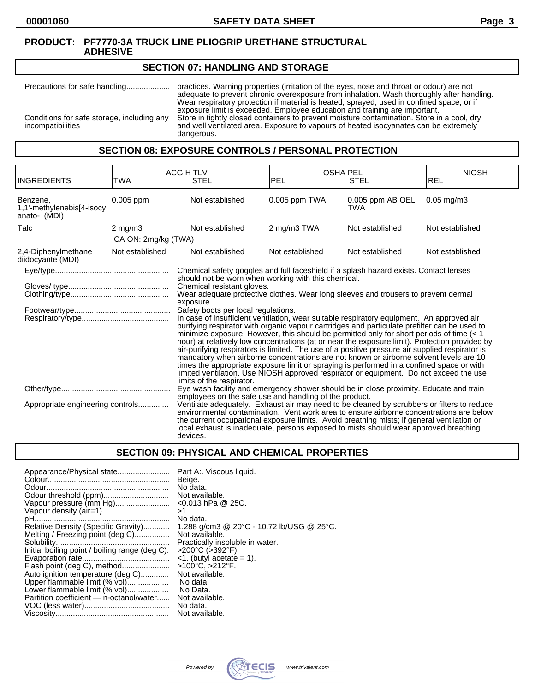# **SECTION 07: HANDLING AND STORAGE**

Precautions for safe handling.................... practices. Warning properties (irritation of the eyes, nose and throat or odour) are not adequate to prevent chronic overexposure from inhalation. Wash thoroughly after handling. Wear respiratory protection if material is heated, sprayed, used in confined space, or if exposure limit is exceeded. Employee education and training are important. Conditions for safe storage, including any Store in tightly closed containers to prevent moisture contamination. Store in a cool, dry incompatibilities and well ventilated area. Exposure to vapours of heated isocyanates can be extremely dangerous.

# **SECTION 08: EXPOSURE CONTROLS / PERSONAL PROTECTION**

| <b>INGREDIENTS</b>                                    | TWA                 | <b>ACGIH TLV</b><br><b>STEL</b>                                                                                                                                                                                                                                                                                                                                                                                                                                                                                                                                                                                                                                                                                                                                                                                                                                                                                                                                                                                 | <b>OSHA PEL</b><br><b>PEL</b> | <b>STEL</b>                    | <b>NIOSH</b><br>REL |
|-------------------------------------------------------|---------------------|-----------------------------------------------------------------------------------------------------------------------------------------------------------------------------------------------------------------------------------------------------------------------------------------------------------------------------------------------------------------------------------------------------------------------------------------------------------------------------------------------------------------------------------------------------------------------------------------------------------------------------------------------------------------------------------------------------------------------------------------------------------------------------------------------------------------------------------------------------------------------------------------------------------------------------------------------------------------------------------------------------------------|-------------------------------|--------------------------------|---------------------|
| Benzene,<br>1,1'-methylenebis[4-isocy<br>anato- (MDI) | 0.005 ppm           | Not established                                                                                                                                                                                                                                                                                                                                                                                                                                                                                                                                                                                                                                                                                                                                                                                                                                                                                                                                                                                                 | 0.005 ppm TWA                 | 0.005 ppm AB OEL<br><b>TWA</b> | $0.05$ mg/m $3$     |
| Talc                                                  | $2 \text{ mg/m}$    | Not established                                                                                                                                                                                                                                                                                                                                                                                                                                                                                                                                                                                                                                                                                                                                                                                                                                                                                                                                                                                                 | 2 mg/m3 TWA                   | Not established                | Not established     |
|                                                       | CA ON: 2mg/kg (TWA) |                                                                                                                                                                                                                                                                                                                                                                                                                                                                                                                                                                                                                                                                                                                                                                                                                                                                                                                                                                                                                 |                               |                                |                     |
| 2,4-Diphenylmethane<br>diidocyante (MDI)              | Not established     | Not established                                                                                                                                                                                                                                                                                                                                                                                                                                                                                                                                                                                                                                                                                                                                                                                                                                                                                                                                                                                                 | Not established               | Not established                | Not established     |
|                                                       |                     | Chemical safety goggles and full faceshield if a splash hazard exists. Contact lenses                                                                                                                                                                                                                                                                                                                                                                                                                                                                                                                                                                                                                                                                                                                                                                                                                                                                                                                           |                               |                                |                     |
|                                                       |                     | should not be worn when working with this chemical.<br>Chemical resistant gloves.<br>Wear adequate protective clothes. Wear long sleeves and trousers to prevent dermal<br>exposure.<br>Safety boots per local regulations.<br>In case of insufficient ventilation, wear suitable respiratory equipment. An approved air<br>purifying respirator with organic vapour cartridges and particulate prefilter can be used to<br>minimize exposure. However, this should be permitted only for short periods of time $(1hour) at relatively low concentrations (at or near the exposure limit). Protection provided byair-purifying respirators is limited. The use of a positive pressure air supplied respirator ismandatory when airborne concentrations are not known or airborne solvent levels are 10times the appropriate exposure limit or spraying is performed in a confined space or withlimited ventilation. Use NIOSH approved respirator or equipment. Do not exceed the uselimits of the respirator.$ |                               |                                |                     |
| Appropriate engineering controls                      |                     | Eye wash facility and emergency shower should be in close proximity. Educate and train<br>employees on the safe use and handling of the product.<br>Ventilate adequately. Exhaust air may need to be cleaned by scrubbers or filters to reduce<br>environmental contamination. Vent work area to ensure airborne concentrations are below<br>the current occupational exposure limits. Avoid breathing mists; if general ventilation or<br>local exhaust is inadequate, persons exposed to mists should wear approved breathing<br>devices.                                                                                                                                                                                                                                                                                                                                                                                                                                                                     |                               |                                |                     |

# **SECTION 09: PHYSICAL AND CHEMICAL PROPERTIES**

| Appearance/Physical state                      | Part A:. Viscous liquid.                  |
|------------------------------------------------|-------------------------------------------|
|                                                | Beige.                                    |
|                                                | No data.                                  |
|                                                | Not available.                            |
| Vapour pressure (mm Hg)                        | $<$ 0.013 hPa @ 25C.                      |
| Vapour density (air=1)                         | $>1$ .                                    |
|                                                | No data.                                  |
| Relative Density (Specific Gravity)            | 1.288 g/cm3 @ 20°C - 10.72 lb/USG @ 25°C. |
| Melting / Freezing point (deg C)               | Not available.                            |
|                                                | Practically insoluble in water.           |
| Initial boiling point / boiling range (deg C). | >200°C (>392°F).                          |
|                                                | $\leq$ 1. (butyl acetate = 1).            |
| Flash point (deg C), method                    | >100°C, >212°F.                           |
| Auto ignition temperature (deg C)              | Not available.                            |
| Upper flammable limit (% vol)                  | No data.                                  |
| Lower flammable limit (% vol)                  | No Data.                                  |
| Partition coefficient - n-octanol/water        | Not available.                            |
|                                                | No data.                                  |
|                                                | Not available.                            |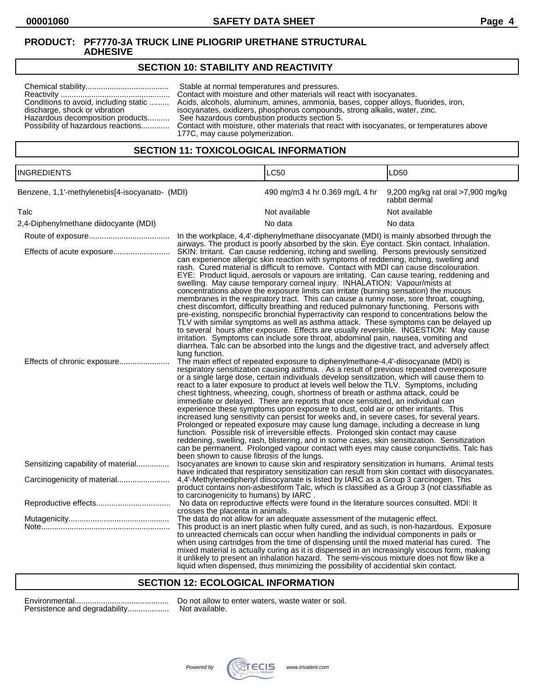# **SECTION 10: STABILITY AND REACTIVITY**

| Conditions to avoid, including static<br>discharge, shock or vibration<br>Hazardous decomposition products | Stable at normal temperatures and pressures.<br>Contact with moisture and other materials will react with isocyanates.<br>Acids, alcohols, aluminum, amines, ammonia, bases, copper alloys, fluorides, iron,<br>isocyanates, oxidizers, phosphorus compounds, strong alkalis, water, zinc.<br>See hazardous combustion products section 5.<br>Possibility of hazardous reactions Contact with moisture, other materials that react with isocyanates, or temperatures above<br>177C, may cause polymerization. |
|------------------------------------------------------------------------------------------------------------|---------------------------------------------------------------------------------------------------------------------------------------------------------------------------------------------------------------------------------------------------------------------------------------------------------------------------------------------------------------------------------------------------------------------------------------------------------------------------------------------------------------|
|------------------------------------------------------------------------------------------------------------|---------------------------------------------------------------------------------------------------------------------------------------------------------------------------------------------------------------------------------------------------------------------------------------------------------------------------------------------------------------------------------------------------------------------------------------------------------------------------------------------------------------|

# **SECTION 11: TOXICOLOGICAL INFORMATION**

| <b>INGREDIENTS</b>                             |                                                              | <b>LC50</b>                                                                                                                                                                                                                                                                                                                                                                                                                                                                                                                                                                                                                                                                                                                                                                                                                                                                                                                                                                                                                                                                                                                                                                                               | LD50                                               |
|------------------------------------------------|--------------------------------------------------------------|-----------------------------------------------------------------------------------------------------------------------------------------------------------------------------------------------------------------------------------------------------------------------------------------------------------------------------------------------------------------------------------------------------------------------------------------------------------------------------------------------------------------------------------------------------------------------------------------------------------------------------------------------------------------------------------------------------------------------------------------------------------------------------------------------------------------------------------------------------------------------------------------------------------------------------------------------------------------------------------------------------------------------------------------------------------------------------------------------------------------------------------------------------------------------------------------------------------|----------------------------------------------------|
| Benzene, 1,1'-methylenebis[4-isocyanato- (MDI) |                                                              | 490 mg/m3 4 hr 0.369 mg/L 4 hr                                                                                                                                                                                                                                                                                                                                                                                                                                                                                                                                                                                                                                                                                                                                                                                                                                                                                                                                                                                                                                                                                                                                                                            | 9,200 mg/kg rat oral >7,900 mg/kg<br>rabbit dermal |
| Talc                                           |                                                              | Not available                                                                                                                                                                                                                                                                                                                                                                                                                                                                                                                                                                                                                                                                                                                                                                                                                                                                                                                                                                                                                                                                                                                                                                                             | Not available                                      |
| 2,4-Diphenylmethane diidocyante (MDI)          |                                                              | No data                                                                                                                                                                                                                                                                                                                                                                                                                                                                                                                                                                                                                                                                                                                                                                                                                                                                                                                                                                                                                                                                                                                                                                                                   | No data                                            |
|                                                |                                                              | In the workplace, 4,4'-diphenylmethane diisocyanate (MDI) is mainly absorbed through the<br>airways. The product is poorly absorbed by the skin. Eye contact. Skin contact. Inhalation.                                                                                                                                                                                                                                                                                                                                                                                                                                                                                                                                                                                                                                                                                                                                                                                                                                                                                                                                                                                                                   |                                                    |
| Effects of acute exposure                      |                                                              | SKIN: Irritant. Can cause reddening, itching and swelling. Persons previously sensitized<br>can experience allergic skin reaction with symptoms of reddening, itching, swelling and<br>rash. Cured material is difficult to remove. Contact with MDI can cause discolouration.<br>EYE: Product liquid, aerosols or vapours are irritating. Can cause tearing, reddening and<br>swelling. May cause temporary corneal injury. INHALATION: Vapour/mists at<br>concentrations above the exposure limits can irritate (burning sensation) the mucous<br>membranes in the respiratory tract. This can cause a runny nose, sore throat, coughing,<br>chest discomfort, difficulty breathing and reduced pulmonary functioning. Persons with<br>pre-existing, nonspecific bronchial hyperractivity can respond to concentrations below the<br>TLV with similar symptoms as well as asthma attack. These symptoms can be delayed up<br>to several hours after exposure. Effects are usually reversible. INGESTION: May cause<br>irritation. Symptoms can include sore throat, abdominal pain, nausea, vomiting and<br>diarrhea. Talc can be absorbed into the lungs and the digestive tract, and adversely affect |                                                    |
| Effects of chronic exposure                    | lung function.<br>been shown to cause fibrosis of the lungs. | The main effect of repeated exposure to diphenylmethane-4,4'-diisocyanate (MDI) is<br>respiratory sensitization causing asthma. . As a result of previous repeated overexposure<br>or a single large dose, certain individuals develop sensitization, which will cause them to<br>react to a later exposure to product at levels well below the TLV. Symptoms, including<br>chest tightness, wheezing, cough, shortness of breath or asthma attack, could be<br>immediate or delayed. There are reports that once sensitized, an individual can<br>experience these symptoms upon exposure to dust, cold air or other irritants. This<br>increased lung sensitivity can persist for weeks and, in severe cases, for several years.<br>Prolonged or repeated exposure may cause lung damage, including a decrease in lung<br>function. Possible risk of irreversible effects. Prolonged skin contact may cause<br>reddening, swelling, rash, blistering, and in some cases, skin sensitization. Sensitization<br>can be permanent. Prolonged vapour contact with eyes may cause conjunctivitis. Talc has                                                                                                   |                                                    |
| Sensitizing capability of material             |                                                              | Isocyanates are known to cause skin and respiratory sensitization in humans. Animal tests<br>have indicated that respiratory sensitization can result from skin contact with diisocyanates.                                                                                                                                                                                                                                                                                                                                                                                                                                                                                                                                                                                                                                                                                                                                                                                                                                                                                                                                                                                                               |                                                    |
|                                                | to carcinogenicity to humans) by IARC.                       | 4,4'-Methylenediphenyl diisocyanate is listed by IARC as a Group 3 carcinogen. This<br>product contains non-asbestiform Talc, which is classified as a Group 3 (not classifiable as                                                                                                                                                                                                                                                                                                                                                                                                                                                                                                                                                                                                                                                                                                                                                                                                                                                                                                                                                                                                                       |                                                    |
|                                                | crosses the placenta in animals.                             | No data on reproductive effects were found in the literature sources consulted. MDI: It                                                                                                                                                                                                                                                                                                                                                                                                                                                                                                                                                                                                                                                                                                                                                                                                                                                                                                                                                                                                                                                                                                                   |                                                    |
|                                                |                                                              | The data do not allow for an adequate assessment of the mutagenic effect.                                                                                                                                                                                                                                                                                                                                                                                                                                                                                                                                                                                                                                                                                                                                                                                                                                                                                                                                                                                                                                                                                                                                 |                                                    |
|                                                |                                                              | This product is an inert plastic when fully cured, and as such, is non-hazardous. Exposure<br>to unreacted chemicals can occur when handling the individual components in pails or<br>when using cartridges from the time of dispensing until the mixed material has cured. The<br>mixed material is actually curing as it is dispensed in an increasingly viscous form, making<br>it unlikely to present an inhalation hazard. The semi-viscous mixture does not flow like a<br>liquid when dispensed, thus minimizing the possibility of accidential skin contact.                                                                                                                                                                                                                                                                                                                                                                                                                                                                                                                                                                                                                                      |                                                    |

#### **SECTION 12: ECOLOGICAL INFORMATION**

| Persistence and degradability |
|-------------------------------|

Environmental........................................... Do not allow to enter waters, waste water or soil. ..... Not available.

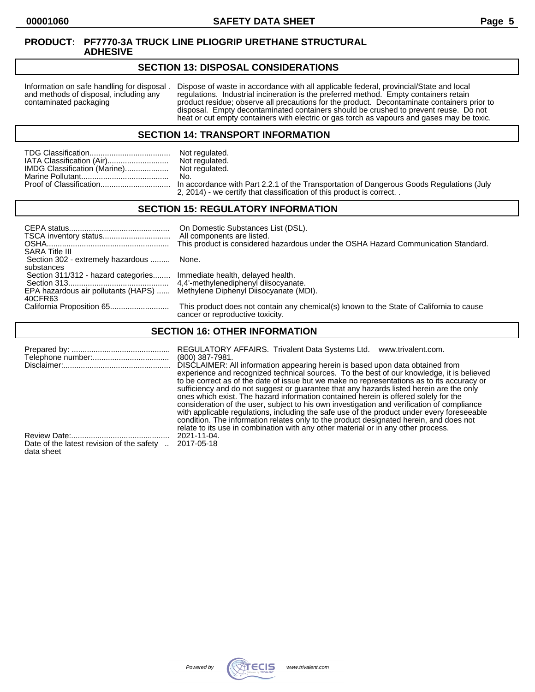## **SECTION 13: DISPOSAL CONSIDERATIONS**

Information on safe handling for disposal . Dispose of waste in accordance with all applicable federal, provincial/State and local and methods of disposal, including any regulations. Industrial incineration is the preferre and methods of disposal, including any regulations. Industrial incineration is the preferred method. Empty containers retain<br>contaminated packaging product residue; observe all precautions for the product. Decontaminate co product residue; observe all precautions for the product. Decontaminate containers prior to disposal. Empty decontaminated containers should be crushed to prevent reuse. Do not heat or cut empty containers with electric or gas torch as vapours and gases may be toxic.

## **SECTION 14: TRANSPORT INFORMATION**

|                              | Not regulated. |
|------------------------------|----------------|
| IATA Classification (Air)    | Not regulated. |
| IMDG Classification (Marine) | Not regulated. |
|                              | No.            |
|                              |                |
|                              |                |

Not regulated.<br>No. n accordance with Part 2.2.1 of the Transportation of Dangerous Goods Regulations (July 2, 2014) - we certify that classification of this product is correct. .

# **SECTION 15: REGULATORY INFORMATION**

| <b>SARA Title III</b>                                                                  | On Domestic Substances List (DSL).<br>All components are listed.<br>This product is considered hazardous under the OSHA Hazard Communication Standard. |
|----------------------------------------------------------------------------------------|--------------------------------------------------------------------------------------------------------------------------------------------------------|
| Section 302 - extremely hazardous                                                      | None.                                                                                                                                                  |
| substances<br>Section 311/312 - hazard categories Immediate health, delayed health.    |                                                                                                                                                        |
| EPA hazardous air pollutants (HAPS)  Methylene Diphenyl Diisocyanate (MDI).<br>40CFR63 |                                                                                                                                                        |
|                                                                                        | This product does not contain any chemical(s) known to the State of California to cause<br>cancer or reproductive toxicity.                            |

# **SECTION 16: OTHER INFORMATION**

|                                           | REGULATORY AFFAIRS. Trivalent Data Systems Ltd.<br>www.trivalent.com.<br>(800) 387-7981.<br>DISCLAIMER: All information appearing herein is based upon data obtained from<br>experience and recognized technical sources. To the best of our knowledge, it is believed<br>to be correct as of the date of issue but we make no representations as to its accuracy or<br>sufficiency and do not suggest or guarantee that any hazards listed herein are the only<br>ones which exist. The hazard information contained herein is offered solely for the<br>consideration of the user, subject to his own investigation and verification of compliance<br>with applicable regulations, including the safe use of the product under every foreseeable<br>condition. The information relates only to the product designated herein, and does not |
|-------------------------------------------|----------------------------------------------------------------------------------------------------------------------------------------------------------------------------------------------------------------------------------------------------------------------------------------------------------------------------------------------------------------------------------------------------------------------------------------------------------------------------------------------------------------------------------------------------------------------------------------------------------------------------------------------------------------------------------------------------------------------------------------------------------------------------------------------------------------------------------------------|
|                                           | relate to its use in combination with any other material or in any other process.                                                                                                                                                                                                                                                                                                                                                                                                                                                                                                                                                                                                                                                                                                                                                            |
| Date of the latest revision of the safety | 2021-11-04.                                                                                                                                                                                                                                                                                                                                                                                                                                                                                                                                                                                                                                                                                                                                                                                                                                  |
| data sheet                                | 2017-05-18                                                                                                                                                                                                                                                                                                                                                                                                                                                                                                                                                                                                                                                                                                                                                                                                                                   |

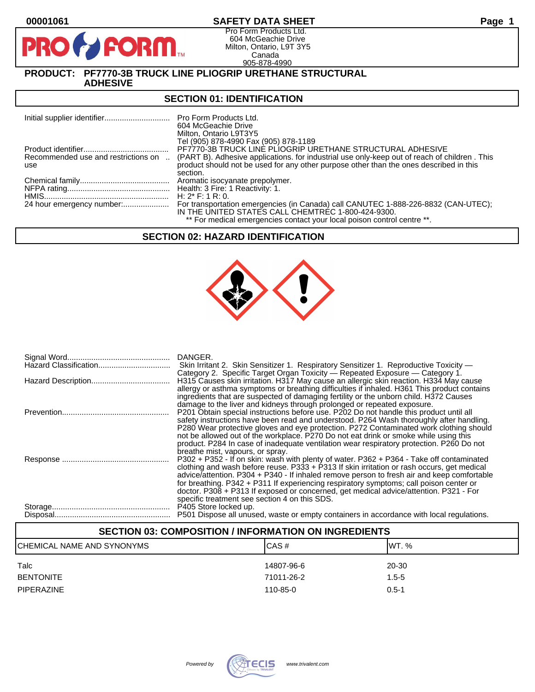**PIR** 

# **00001061 SAFETY DATA SHEET Page 1**

Pro Form Products Ltd. 604 McGeachie Drive Milton, Ontario, L9T 3Y5 Canada 905-878-4990

# **PRODUCT: PF7770-3B TRUCK LINE PLIOGRIP URETHANE STRUCTURAL**

**ADHESIVE** 

**FORM** 

### **SECTION 01: IDENTIFICATION**

|                                            | <b>Pro Form Products Ltd.</b><br>604 McGeachie Drive<br>Milton, Ontario L9T3Y5<br>Tel (905) 878-4990 Fax (905) 878-1189                                                                |
|--------------------------------------------|----------------------------------------------------------------------------------------------------------------------------------------------------------------------------------------|
|                                            | PF7770-3B TRUCK LINE PLIOGRIP URETHANE STRUCTURAL ADHESIVE                                                                                                                             |
| Recommended use and restrictions on<br>use | (PART B). Adhesive applications, for industrial use only-keep out of reach of children. This<br>product should not be used for any other purpose other than the ones described in this |
|                                            | section.                                                                                                                                                                               |
|                                            |                                                                                                                                                                                        |
|                                            | H: $2^*$ F: 1 R: 0.                                                                                                                                                                    |
|                                            | For transportation emergencies (in Canada) call CANUTEC 1-888-226-8832 (CAN-UTEC);<br>IN THE UNITED STATES CALL CHEMTREC 1-800-424-9300.                                               |
|                                            | ** For medical emergencies contact your local poison control centre **.                                                                                                                |

## **SECTION 02: HAZARD IDENTIFICATION**



| DANGER.<br>Skin Irritant 2. Skin Sensitizer 1. Respiratory Sensitizer 1. Reproductive Toxicity —<br>Category 2. Specific Target Organ Toxicity — Repeated Exposure — Category 1.                                                                                                                                                                                                                                                                                                                                         |
|--------------------------------------------------------------------------------------------------------------------------------------------------------------------------------------------------------------------------------------------------------------------------------------------------------------------------------------------------------------------------------------------------------------------------------------------------------------------------------------------------------------------------|
| H315 Causes skin irritation. H317 May cause an allergic skin reaction. H334 May cause<br>allergy or asthma symptoms or breathing difficulties if inhaled. H361 This product contains<br>ingredients that are suspected of damaging fertility or the unborn child. H372 Causes<br>damage to the liver and kidneys through prolonged or repeated exposure.                                                                                                                                                                 |
| P201 Obtain special instructions before use. P202 Do not handle this product until all<br>safety instructions have been read and understood. P264 Wash thoroughly after handling.<br>P280 Wear protective gloves and eye protection. P272 Contaminated work clothing should<br>not be allowed out of the workplace. P270 Do not eat drink or smoke while using this<br>product. P284 In case of inadequate ventilation wear respiratory protection. P260 Do not<br>breathe mist, vapours, or spray.                      |
| P302 + P352 - If on skin: wash with plenty of water. P362 + P364 - Take off contaminated<br>clothing and wash before reuse. P333 + P313 If skin irritation or rash occurs, get medical<br>advice/attention. P304 + P340 - If inhaled remove person to fresh air and keep comfortable<br>for breathing. P342 + P311 If experiencing respiratory symptoms; call poison center or<br>doctor. P308 + P313 If exposed or concerned, get medical advice/attention. P321 - For<br>specific treatment see section 4 on this SDS. |
| P501 Dispose all unused, waste or empty containers in accordance with local regulations.                                                                                                                                                                                                                                                                                                                                                                                                                                 |

# **SECTION 03: COMPOSITION / INFORMATION ON INGREDIENTS**

| CHEMICAL NAME AND SYNONYMS | CAS#       | IWT. %    |
|----------------------------|------------|-----------|
| Talc                       | 14807-96-6 | 20-30     |
| <b>BENTONITE</b>           | 71011-26-2 | $1.5 - 5$ |
| <b>PIPERAZINE</b>          | 110-85-0   | $0.5 - 1$ |

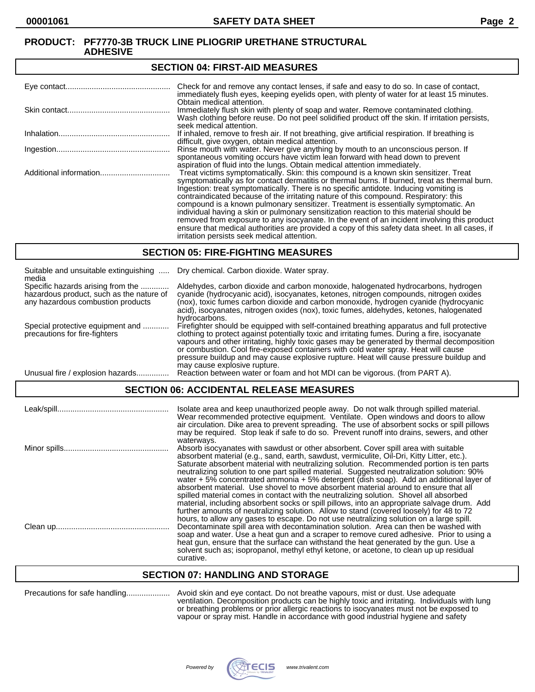#### **SECTION 04: FIRST-AID MEASURES**

| Check for and remove any contact lenses, if safe and easy to do so. In case of contact,<br>immediately flush eyes, keeping eyelids open, with plenty of water for at least 15 minutes.                                                                                                                                                                                                                                                                                                                                                                                                                                                                                                                                                                                                                   |
|----------------------------------------------------------------------------------------------------------------------------------------------------------------------------------------------------------------------------------------------------------------------------------------------------------------------------------------------------------------------------------------------------------------------------------------------------------------------------------------------------------------------------------------------------------------------------------------------------------------------------------------------------------------------------------------------------------------------------------------------------------------------------------------------------------|
| Obtain medical attention.<br>Immediately flush skin with plenty of soap and water. Remove contaminated clothing.<br>Wash clothing before reuse. Do not peel solidified product off the skin. If irritation persists,<br>seek medical attention.                                                                                                                                                                                                                                                                                                                                                                                                                                                                                                                                                          |
| If inhaled, remove to fresh air. If not breathing, give artificial respiration. If breathing is<br>difficult, give oxygen, obtain medical attention.                                                                                                                                                                                                                                                                                                                                                                                                                                                                                                                                                                                                                                                     |
| Rinse mouth with water. Never give anything by mouth to an unconscious person. If<br>spontaneous vomiting occurs have victim lean forward with head down to prevent<br>aspiration of fluid into the lungs. Obtain medical attention immediately.                                                                                                                                                                                                                                                                                                                                                                                                                                                                                                                                                         |
| Treat victims symptomatically. Skin: this compound is a known skin sensitizer. Treat<br>symptomatically as for contact dermatitis or thermal burns. If burned, treat as thermal burn.<br>Ingestion: treat symptomatically. There is no specific antidote. Inducing vomiting is<br>contraindicated because of the irritating nature of this compound. Respiratory: this<br>compound is a known pulmonary sensitizer. Treatment is essentially symptomatic. An<br>individual having a skin or pulmonary sensitization reaction to this material should be<br>removed from exposure to any isocyanate. In the event of an incident involving this product<br>ensure that medical authorities are provided a copy of this safety data sheet. In all cases, if<br>irritation persists seek medical attention. |

## **SECTION 05: FIRE-FIGHTING MEASURES**

| Suitable and unsuitable extinguishing<br>media                                                                     | Dry chemical. Carbon dioxide. Water spray.                                                                                                                                                                                                                                                                                                                                                                                                                                                                |
|--------------------------------------------------------------------------------------------------------------------|-----------------------------------------------------------------------------------------------------------------------------------------------------------------------------------------------------------------------------------------------------------------------------------------------------------------------------------------------------------------------------------------------------------------------------------------------------------------------------------------------------------|
| Specific hazards arising from the<br>hazardous product, such as the nature of<br>any hazardous combustion products | Aldehydes, carbon dioxide and carbon monoxide, halogenated hydrocarbons, hydrogen<br>cyanide (hydrocyanic acid), isocyanates, ketones, nitrogen compounds, nitrogen oxides<br>(nox), toxic fumes carbon dioxide and carbon monoxide, hydrogen cyanide (hydrocyanic<br>acid), isocyanates, nitrogen oxides (nox), toxic fumes, aldehydes, ketones, halogenated<br>hydrocarbons.                                                                                                                            |
| Special protective equipment and<br>precautions for fire-fighters                                                  | Firefighter should be equipped with self-contained breathing apparatus and full protective<br>clothing to protect against potentially toxic and irritating fumes. During a fire, isocyanate<br>vapours and other irritating, highly toxic gases may be generated by thermal decomposition<br>or combustion. Cool fire-exposed containers with cold water spray. Heat will cause<br>pressure buildup and may cause explosive rupture. Heat will cause pressure buildup and<br>may cause explosive rupture. |
| Unusual fire / explosion hazards                                                                                   | Reaction between water or foam and hot MDI can be vigorous. (from PART A).                                                                                                                                                                                                                                                                                                                                                                                                                                |

# **SECTION 06: ACCIDENTAL RELEASE MEASURES**

| Isolate area and keep unauthorized people away. Do not walk through spilled material.<br>Wear recommended protective equipment. Ventilate. Open windows and doors to allow<br>air circulation. Dike area to prevent spreading. The use of absorbent socks or spill pillows<br>may be required. Stop leak if safe to do so. Prevent runoff into drains, sewers, and other                                                                                                                                                                                                                                                                                               |
|------------------------------------------------------------------------------------------------------------------------------------------------------------------------------------------------------------------------------------------------------------------------------------------------------------------------------------------------------------------------------------------------------------------------------------------------------------------------------------------------------------------------------------------------------------------------------------------------------------------------------------------------------------------------|
| waterways.<br>Absorb isocyanates with sawdust or other absorbent. Cover spill area with suitable<br>absorbent material (e.g., sand, earth, sawdust, vermiculite, Oil-Dri, Kitty Litter, etc.).<br>Saturate absorbent material with neutralizing solution. Recommended portion is ten parts<br>neutralizing solution to one part spilled material. Suggested neutralization solution: 90%<br>water $+5\%$ concentrated ammonia $+5\%$ detergent (dish soap). Add an additional layer of<br>absorbent material. Use shovel to move absorbent material around to ensure that all<br>spilled material comes in contact with the neutralizing solution. Shovel all absorbed |
| material, including absorbent socks or spill pillows, into an appropriate salvage drum. Add<br>further amounts of neutralizing solution. Allow to stand (covered loosely) for 48 to 72<br>hours, to allow any gases to escape. Do not use neutralizing solution on a large spill.<br>Decontaminate spill area with decontamination solution. Area can then be washed with<br>soap and water. Use a heat gun and a scraper to remove cured adhesive. Prior to using a<br>heat gun, ensure that the surface can withstand the heat generated by the gun. Use a<br>solvent such as: isopropanol, methyl ethyl ketone, or acetone, to clean up up residual<br>curative.    |

# **SECTION 07: HANDLING AND STORAGE**

| Precautions for safe handling |  | Α٧ |
|-------------------------------|--|----|
|-------------------------------|--|----|

Precautions for safe handling.................... Avoid skin and eye contact. Do not breathe vapours, mist or dust. Use adequate ventilation. Decomposition products can be highly toxic and irritating. Individuals with lung or breathing problems or prior allergic reactions to isocyanates must not be exposed to vapour or spray mist. Handle in accordance with good industrial hygiene and safety

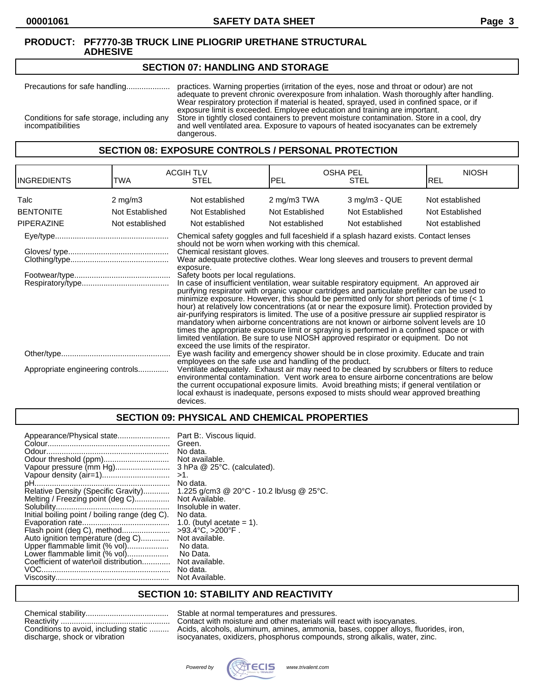#### **SECTION 07: HANDLING AND STORAGE**

Precautions for safe handling.................... practices. Warning properties (irritation of the eyes, nose and throat or odour) are not adequate to prevent chronic overexposure from inhalation. Wash thoroughly after handling. Wear respiratory protection if material is heated, sprayed, used in confined space, or if exposure limit is exceeded. Employee education and training are important. Conditions for safe storage, including any Store in tightly closed containers to prevent moisture contamination. Store in a cool, dry and well ventilated area. Exposure to vapours of heated isocyanates can be extremely and well ventilated area. Exposure to vapours of heated isocyanates can be extremely dangerous.

# **SECTION 08: EXPOSURE CONTROLS / PERSONAL PROTECTION**

| <b>INGREDIENTS</b>               | TWA                | <b>ACGIH TLV</b><br><b>STEL</b>                                                                                                                                                                                                                                                                                                                                                                                                                                                                                                                                                                                                                                                                                                                                                                                                                                                                                                                                                                                                                                                                                                               | <b>OSHA PEL</b><br>PEL<br>STEL |                    | <b>NIOSH</b><br>IREL |
|----------------------------------|--------------------|-----------------------------------------------------------------------------------------------------------------------------------------------------------------------------------------------------------------------------------------------------------------------------------------------------------------------------------------------------------------------------------------------------------------------------------------------------------------------------------------------------------------------------------------------------------------------------------------------------------------------------------------------------------------------------------------------------------------------------------------------------------------------------------------------------------------------------------------------------------------------------------------------------------------------------------------------------------------------------------------------------------------------------------------------------------------------------------------------------------------------------------------------|--------------------------------|--------------------|----------------------|
| Talc                             | $2 \text{ mg/m}$ 3 | Not established                                                                                                                                                                                                                                                                                                                                                                                                                                                                                                                                                                                                                                                                                                                                                                                                                                                                                                                                                                                                                                                                                                                               | 2 mg/m3 TWA                    | $3$ mg/m $3$ - QUE | Not established      |
| <b>BENTONITE</b>                 | Not Established    | Not Established                                                                                                                                                                                                                                                                                                                                                                                                                                                                                                                                                                                                                                                                                                                                                                                                                                                                                                                                                                                                                                                                                                                               | Not Established                | Not Established    | Not Established      |
| <b>PIPERAZINE</b>                | Not established    | Not established                                                                                                                                                                                                                                                                                                                                                                                                                                                                                                                                                                                                                                                                                                                                                                                                                                                                                                                                                                                                                                                                                                                               | Not established                | Not established    | Not established      |
|                                  |                    | Chemical safety goggles and full faceshield if a splash hazard exists. Contact lenses<br>should not be worn when working with this chemical.<br>Chemical resistant gloves.<br>Wear adequate protective clothes. Wear long sleeves and trousers to prevent dermal<br>exposure.<br>Safety boots per local regulations.<br>In case of insufficient ventilation, wear suitable respiratory equipment. An approved air<br>purifying respirator with organic vapour cartridges and particulate prefilter can be used to<br>minimize exposure. However, this should be permitted only for short periods of time $(< 1$<br>hour) at relatively low concentrations (at or near the exposure limit). Protection provided by<br>air-purifying respirators is limited. The use of a positive pressure air supplied respirator is<br>mandatory when airborne concentrations are not known or airborne solvent levels are 10<br>times the appropriate exposure limit or spraying is performed in a confined space or with<br>limited ventilation. Be sure to use NIOSH approved respirator or equipment. Do not<br>exceed the use limits of the respirator. |                                |                    |                      |
|                                  |                    | Eye wash facility and emergency shower should be in close proximity. Educate and train<br>employees on the safe use and handling of the product.                                                                                                                                                                                                                                                                                                                                                                                                                                                                                                                                                                                                                                                                                                                                                                                                                                                                                                                                                                                              |                                |                    |                      |
| Appropriate engineering controls |                    | Ventilate adequately. Exhaust air may need to be cleaned by scrubbers or filters to reduce<br>environmental contamination. Vent work area to ensure airborne concentrations are below<br>the current occupational exposure limits. Avoid breathing mists; if general ventilation or<br>local exhaust is inadequate, persons exposed to mists should wear approved breathing<br>devices.                                                                                                                                                                                                                                                                                                                                                                                                                                                                                                                                                                                                                                                                                                                                                       |                                |                    |                      |

#### **SECTION 09: PHYSICAL AND CHEMICAL PROPERTIES**

### **SECTION 10: STABILITY AND REACTIVITY**

| Conditions to avoid, including static |
|---------------------------------------|
| discharge, shock or vibration         |

Stable at normal temperatures and pressures. Contact with moisture and other materials will react with isocyanates. Acids, alcohols, aluminum, amines, ammonia, bases, copper alloys, fluorides, iron, isocyanates, oxidizers, phosphorus compounds, strong alkalis, water, zinc.

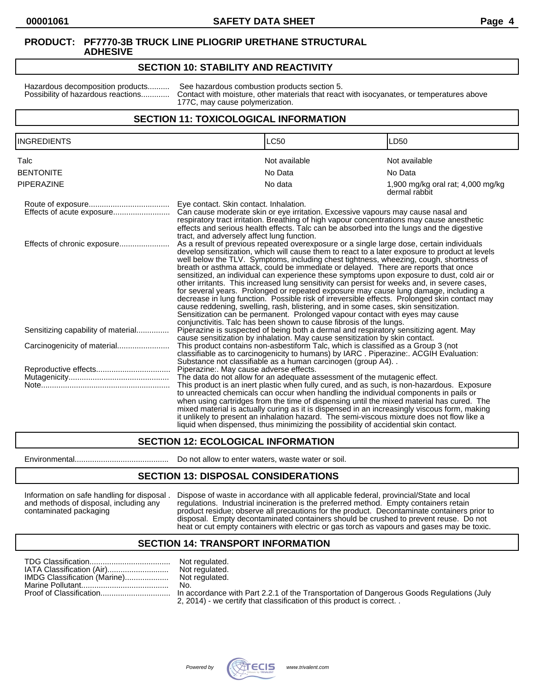# **SECTION 10: STABILITY AND REACTIVITY**

Hazardous decomposition products........... See hazardous combustion products section 5.<br>Possibility of hazardous reactions............. Contact with moisture, other materials that react Contact with moisture, other materials that react with isocyanates, or temperatures above 177C, may cause polymerization.

## **SECTION 11: TOXICOLOGICAL INFORMATION**

| <b>INGREDIENTS</b>                 | <b>LC50</b>                                                                                                                                                                                                                                                                                                                                                                                                                                                                                                                                                                                                                                                                                                                                                                                                                                                                                                                                                                                                                                                                                                                                                                                                                                                                                                                                                                             | LD50                                               |  |
|------------------------------------|-----------------------------------------------------------------------------------------------------------------------------------------------------------------------------------------------------------------------------------------------------------------------------------------------------------------------------------------------------------------------------------------------------------------------------------------------------------------------------------------------------------------------------------------------------------------------------------------------------------------------------------------------------------------------------------------------------------------------------------------------------------------------------------------------------------------------------------------------------------------------------------------------------------------------------------------------------------------------------------------------------------------------------------------------------------------------------------------------------------------------------------------------------------------------------------------------------------------------------------------------------------------------------------------------------------------------------------------------------------------------------------------|----------------------------------------------------|--|
| Talc                               | Not available                                                                                                                                                                                                                                                                                                                                                                                                                                                                                                                                                                                                                                                                                                                                                                                                                                                                                                                                                                                                                                                                                                                                                                                                                                                                                                                                                                           | Not available                                      |  |
| <b>BENTONITE</b>                   | No Data                                                                                                                                                                                                                                                                                                                                                                                                                                                                                                                                                                                                                                                                                                                                                                                                                                                                                                                                                                                                                                                                                                                                                                                                                                                                                                                                                                                 | No Data                                            |  |
| PIPERAZINE                         | No data                                                                                                                                                                                                                                                                                                                                                                                                                                                                                                                                                                                                                                                                                                                                                                                                                                                                                                                                                                                                                                                                                                                                                                                                                                                                                                                                                                                 | 1,900 mg/kg oral rat; 4,000 mg/kg<br>dermal rabbit |  |
|                                    | Eye contact. Skin contact. Inhalation.<br>Can cause moderate skin or eye irritation. Excessive vapours may cause nasal and<br>respiratory tract irritation. Breathing of high vapour concentrations may cause anesthetic<br>effects and serious health effects. Talc can be absorbed into the lungs and the digestive<br>tract, and adversely affect lung function.<br>As a result of previous repeated overexposure or a single large dose, certain individuals<br>develop sensitization, which will cause them to react to a later exposure to product at levels<br>well below the TLV. Symptoms, including chest tightness, wheezing, cough, shortness of<br>breath or asthma attack, could be immediate or delayed. There are reports that once<br>sensitized, an individual can experience these symptoms upon exposure to dust, cold air or<br>other irritants. This increased lung sensitivity can persist for weeks and, in severe cases,<br>for several years. Prolonged or repeated exposure may cause lung damage, including a<br>decrease in lung function. Possible risk of irreversible effects. Prolonged skin contact may<br>cause reddening, swelling, rash, blistering, and in some cases, skin sensitization.<br>Sensitization can be permanent. Prolonged vapour contact with eyes may cause<br>conjunctivitis. Talc has been shown to cause fibrosis of the lungs. |                                                    |  |
| Effects of chronic exposure        |                                                                                                                                                                                                                                                                                                                                                                                                                                                                                                                                                                                                                                                                                                                                                                                                                                                                                                                                                                                                                                                                                                                                                                                                                                                                                                                                                                                         |                                                    |  |
| Sensitizing capability of material | Piperazine is suspected of being both a dermal and respiratory sensitizing agent. May<br>cause sensitization by inhalation. May cause sensitization by skin contact.                                                                                                                                                                                                                                                                                                                                                                                                                                                                                                                                                                                                                                                                                                                                                                                                                                                                                                                                                                                                                                                                                                                                                                                                                    |                                                    |  |
|                                    | This product contains non-asbestiform Talc, which is classified as a Group 3 (not<br>classifiable as to carcinogenicity to humans) by IARC. Piperazine:. ACGIH Evaluation:<br>Substance not classifiable as a human carcinogen (group A4)                                                                                                                                                                                                                                                                                                                                                                                                                                                                                                                                                                                                                                                                                                                                                                                                                                                                                                                                                                                                                                                                                                                                               |                                                    |  |
|                                    | Piperazine:. May cause adverse effects.                                                                                                                                                                                                                                                                                                                                                                                                                                                                                                                                                                                                                                                                                                                                                                                                                                                                                                                                                                                                                                                                                                                                                                                                                                                                                                                                                 |                                                    |  |
|                                    | The data do not allow for an adequate assessment of the mutagenic effect.<br>This product is an inert plastic when fully cured, and as such, is non-hazardous. Exposure<br>to unreacted chemicals can occur when handling the individual components in pails or<br>when using cartridges from the time of dispensing until the mixed material has cured. The<br>mixed material is actually curing as it is dispensed in an increasingly viscous form, making<br>it unlikely to present an inhalation hazard. The semi-viscous mixture does not flow like a<br>liquid when dispensed, thus minimizing the possibility of accidential skin contact.                                                                                                                                                                                                                                                                                                                                                                                                                                                                                                                                                                                                                                                                                                                                       |                                                    |  |

# **SECTION 12: ECOLOGICAL INFORMATION**

Environmental........................................... Do not allow to enter waters, waste water or soil.

#### **SECTION 13: DISPOSAL CONSIDERATIONS**

Information on safe handling for disposal . Dispose of waste in accordance with all applicable federal, provincial/State and local and methods of disposal, including any regulations. Industrial incineration is the preferred method. Empty containers retain contaminated packaging product residue; observe all precautions for the product. Decontaminate containers prior to disposal. Empty decontaminated containers should be crushed to prevent reuse. Do not heat or cut empty containers with electric or gas torch as vapours and gases may be toxic.

#### **SECTION 14: TRANSPORT INFORMATION**

|                              | Not regulated. |
|------------------------------|----------------|
|                              | Not regulated. |
| IMDG Classification (Marine) | Not regulated. |
|                              | No.            |
|                              | $- - - - -$    |

2, 2014) - we certify that classification of this product is correct. .